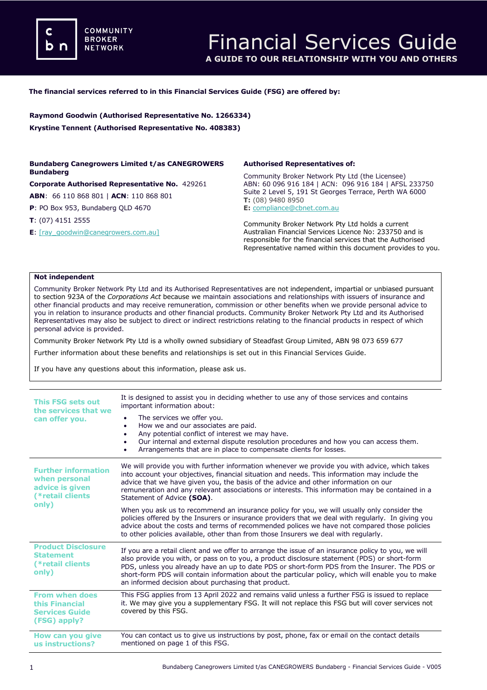**COMMUNITY BROKER NETWORK** 

### **The financial services referred to in this Financial Services Guide (FSG) are offered by:**

**Raymond Goodwin (Authorised Representative No. 1266334) Krystine Tennent (Authorised Representative No. 408383)**

## **Bundaberg Canegrowers Limited t/as CANEGROWERS Bundaberg**

**Corporate Authorised Representative No.** 429261 **ABN**: 66 110 868 801 | **ACN**: 110 868 801

**P**: PO Box 953, Bundaberg QLD 4670

**T**: (07) 4151 2555

**E**[: \[ray\\_goodwin@canegrowers.com.au\]](mailto:meena@dataprivacyinsurance.com.au)

### **Authorised Representatives of:**

Community Broker Network Pty Ltd (the Licensee) ABN: 60 096 916 184 | ACN: 096 916 184 | AFSL 233750 Suite 2 Level 5, 191 St Georges Terrace, Perth WA 6000 **T:** (08) 9480 8950 **E:** [compliance@cbnet.com.au](mailto:queries@naswg.com.au) 

Community Broker Network Pty Ltd holds a current Australian Financial Services Licence No: 233750 and is responsible for the financial services that the Authorised Representative named within this document provides to you.

#### **Not independent**

Community Broker Network Pty Ltd and its Authorised Representatives are not independent, impartial or unbiased pursuant to section 923A of the *Corporations Act* because we maintain associations and relationships with issuers of insurance and other financial products and may receive remuneration, commission or other benefits when we provide personal advice to you in relation to insurance products and other financial products. Community Broker Network Pty Ltd and its Authorised Representatives may also be subject to direct or indirect restrictions relating to the financial products in respect of which personal advice is provided.

Community Broker Network Pty Ltd is a wholly owned subsidiary of Steadfast Group Limited, ABN 98 073 659 677

Further information about these benefits and relationships is set out in this Financial Services Guide.

If you have any questions about this information, please ask us.

| This FSG sets out<br>the services that we<br>can offer you.                                 | It is designed to assist you in deciding whether to use any of those services and contains<br>important information about:                                                                                                                                                                                                                                                                                                                                        |
|---------------------------------------------------------------------------------------------|-------------------------------------------------------------------------------------------------------------------------------------------------------------------------------------------------------------------------------------------------------------------------------------------------------------------------------------------------------------------------------------------------------------------------------------------------------------------|
|                                                                                             | The services we offer you.<br>How we and our associates are paid.<br>٠<br>Any potential conflict of interest we may have.<br>٠<br>Our internal and external dispute resolution procedures and how you can access them.<br>٠<br>Arrangements that are in place to compensate clients for losses.                                                                                                                                                                   |
| <b>Further information</b><br>when personal<br>advice is given<br>(*retail clients<br>only) | We will provide you with further information whenever we provide you with advice, which takes<br>into account your objectives, financial situation and needs. This information may include the<br>advice that we have given you, the basis of the advice and other information on our<br>remuneration and any relevant associations or interests. This information may be contained in a<br>Statement of Advice (SOA).                                            |
|                                                                                             | When you ask us to recommend an insurance policy for you, we will usually only consider the<br>policies offered by the Insurers or insurance providers that we deal with regularly. In giving you<br>advice about the costs and terms of recommended polices we have not compared those policies<br>to other policies available, other than from those Insurers we deal with regularly.                                                                           |
| <b>Product Disclosure</b><br><b>Statement</b><br>(*retail clients)<br>only)                 | If you are a retail client and we offer to arrange the issue of an insurance policy to you, we will<br>also provide you with, or pass on to you, a product disclosure statement (PDS) or short-form<br>PDS, unless you already have an up to date PDS or short-form PDS from the Insurer. The PDS or<br>short-form PDS will contain information about the particular policy, which will enable you to make<br>an informed decision about purchasing that product. |
| <b>From when does</b><br>this Financial<br><b>Services Guide</b><br>(FSG) apply?            | This FSG applies from 13 April 2022 and remains valid unless a further FSG is issued to replace<br>it. We may give you a supplementary FSG. It will not replace this FSG but will cover services not<br>covered by this FSG.                                                                                                                                                                                                                                      |
| How can you give<br>us instructions?                                                        | You can contact us to give us instructions by post, phone, fax or email on the contact details<br>mentioned on page 1 of this FSG.                                                                                                                                                                                                                                                                                                                                |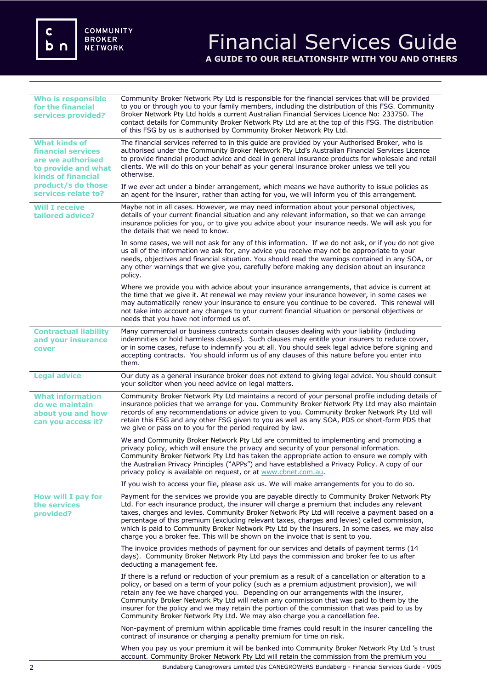c<br>b n

# Financial Services Guide **A GUIDE TO OUR RELATIONSHIP WITH YOU AND OTHERS**

| <b>Who is responsible</b><br>for the financial<br>services provided?                                                                                                    | Community Broker Network Pty Ltd is responsible for the financial services that will be provided<br>to you or through you to your family members, including the distribution of this FSG. Community<br>Broker Network Pty Ltd holds a current Australian Financial Services Licence No: 233750. The<br>contact details for Community Broker Network Pty Ltd are at the top of this FSG. The distribution<br>of this FSG by us is authorised by Community Broker Network Pty Ltd.                                                                                                   |
|-------------------------------------------------------------------------------------------------------------------------------------------------------------------------|------------------------------------------------------------------------------------------------------------------------------------------------------------------------------------------------------------------------------------------------------------------------------------------------------------------------------------------------------------------------------------------------------------------------------------------------------------------------------------------------------------------------------------------------------------------------------------|
| <b>What kinds of</b><br><b>financial services</b><br>are we authorised<br>to provide and what<br><b>kinds of financial</b><br>product/s do those<br>services relate to? | The financial services referred to in this guide are provided by your Authorised Broker, who is<br>authorised under the Community Broker Network Pty Ltd's Australian Financial Services Licence<br>to provide financial product advice and deal in general insurance products for wholesale and retail<br>clients. We will do this on your behalf as your general insurance broker unless we tell you<br>otherwise.                                                                                                                                                               |
|                                                                                                                                                                         | If we ever act under a binder arrangement, which means we have authority to issue policies as<br>an agent for the insurer, rather than acting for you, we will inform you of this arrangement.                                                                                                                                                                                                                                                                                                                                                                                     |
| <b>Will I receive</b><br>tailored advice?                                                                                                                               | Maybe not in all cases. However, we may need information about your personal objectives,<br>details of your current financial situation and any relevant information, so that we can arrange<br>insurance policies for you, or to give you advice about your insurance needs. We will ask you for<br>the details that we need to know.                                                                                                                                                                                                                                             |
|                                                                                                                                                                         | In some cases, we will not ask for any of this information. If we do not ask, or if you do not give<br>us all of the information we ask for, any advice you receive may not be appropriate to your<br>needs, objectives and financial situation. You should read the warnings contained in any SOA, or<br>any other warnings that we give you, carefully before making any decision about an insurance<br>policy.                                                                                                                                                                  |
|                                                                                                                                                                         | Where we provide you with advice about your insurance arrangements, that advice is current at<br>the time that we give it. At renewal we may review your insurance however, in some cases we<br>may automatically renew your insurance to ensure you continue to be covered. This renewal will<br>not take into account any changes to your current financial situation or personal objectives or<br>needs that you have not informed us of.                                                                                                                                       |
| <b>Contractual liability</b><br>and your insurance<br>cover                                                                                                             | Many commercial or business contracts contain clauses dealing with your liability (including<br>indemnities or hold harmless clauses). Such clauses may entitle your insurers to reduce cover,<br>or in some cases, refuse to indemnify you at all. You should seek legal advice before signing and<br>accepting contracts. You should inform us of any clauses of this nature before you enter into<br>them.                                                                                                                                                                      |
| <b>Legal advice</b>                                                                                                                                                     | Our duty as a general insurance broker does not extend to giving legal advice. You should consult<br>your solicitor when you need advice on legal matters.                                                                                                                                                                                                                                                                                                                                                                                                                         |
| <b>What information</b><br>do we maintain<br>about you and how<br>can you access it?                                                                                    | Community Broker Network Pty Ltd maintains a record of your personal profile including details of<br>insurance policies that we arrange for you. Community Broker Network Pty Ltd may also maintain<br>records of any recommendations or advice given to you. Community Broker Network Pty Ltd will<br>retain this FSG and any other FSG given to you as well as any SOA, PDS or short-form PDS that<br>we give or pass on to you for the period required by law.                                                                                                                  |
|                                                                                                                                                                         | We and Community Broker Network Pty Ltd are committed to implementing and promoting a<br>privacy policy, which will ensure the privacy and security of your personal information.<br>Community Broker Network Pty Ltd has taken the appropriate action to ensure we comply with<br>the Australian Privacy Principles ("APPs") and have established a Privacy Policy. A copy of our<br>privacy policy is available on request, or at www.cbnet.com.au.                                                                                                                              |
|                                                                                                                                                                         | If you wish to access your file, please ask us. We will make arrangements for you to do so.                                                                                                                                                                                                                                                                                                                                                                                                                                                                                        |
| How will I pay for<br>the services<br>provided?                                                                                                                         | Payment for the services we provide you are payable directly to Community Broker Network Pty<br>Ltd. For each insurance product, the insurer will charge a premium that includes any relevant<br>taxes, charges and levies. Community Broker Network Pty Ltd will receive a payment based on a<br>percentage of this premium (excluding relevant taxes, charges and levies) called commission,<br>which is paid to Community Broker Network Pty Ltd by the insurers. In some cases, we may also<br>charge you a broker fee. This will be shown on the invoice that is sent to you. |
|                                                                                                                                                                         | The invoice provides methods of payment for our services and details of payment terms (14<br>days). Community Broker Network Pty Ltd pays the commission and broker fee to us after<br>deducting a management fee.                                                                                                                                                                                                                                                                                                                                                                 |
|                                                                                                                                                                         | If there is a refund or reduction of your premium as a result of a cancellation or alteration to a<br>policy, or based on a term of your policy (such as a premium adjustment provision), we will<br>retain any fee we have charged you. Depending on our arrangements with the insurer,<br>Community Broker Network Pty Ltd will retain any commission that was paid to them by the<br>insurer for the policy and we may retain the portion of the commission that was paid to us by<br>Community Broker Network Pty Ltd. We may also charge you a cancellation fee.              |
|                                                                                                                                                                         | Non-payment of premium within applicable time frames could result in the insurer cancelling the<br>contract of insurance or charging a penalty premium for time on risk.                                                                                                                                                                                                                                                                                                                                                                                                           |
|                                                                                                                                                                         | When you pay us your premium it will be banked into Community Broker Network Pty Ltd 's trust<br>account. Community Broker Network Pty Ltd will retain the commission from the premium you                                                                                                                                                                                                                                                                                                                                                                                         |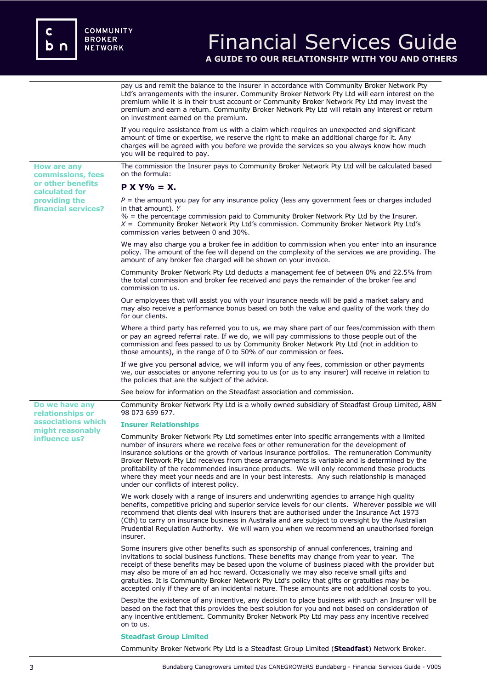**or other benefits calculated for providing the financial services?**

## Financial Services Guide **A GUIDE TO OUR RELATIONSHIP WITH YOU AND OTHERS**

pay us and remit the balance to the insurer in accordance with Community Broker Network Pty Ltd's arrangements with the insurer. Community Broker Network Pty Ltd will earn interest on the premium while it is in their trust account or Community Broker Network Pty Ltd may invest the premium and earn a return. Community Broker Network Pty Ltd will retain any interest or return on investment earned on the premium.

If you require assistance from us with a claim which requires an unexpected and significant amount of time or expertise, we reserve the right to make an additional charge for it. Any charges will be agreed with you before we provide the services so you always know how much you will be required to pay.

**How are any commissions, fees**  The commission the Insurer pays to Community Broker Network Pty Ltd will be calculated based on the formula:

## **P X Y% = X.**

 $P =$  the amount you pay for any insurance policy (less any government fees or charges included in that amount). *Y*

*%* = the percentage commission paid to Community Broker Network Pty Ltd by the Insurer. *X* = Community Broker Network Pty Ltd's commission. Community Broker Network Pty Ltd's commission varies between 0 and 30%.

We may also charge you a broker fee in addition to commission when you enter into an insurance policy. The amount of the fee will depend on the complexity of the services we are providing. The amount of any broker fee charged will be shown on your invoice.

Community Broker Network Pty Ltd deducts a management fee of between 0% and 22.5% from the total commission and broker fee received and pays the remainder of the broker fee and commission to us.

Our employees that will assist you with your insurance needs will be paid a market salary and may also receive a performance bonus based on both the value and quality of the work they do for our clients.

Where a third party has referred you to us, we may share part of our fees/commission with them or pay an agreed referral rate. If we do, we will pay commissions to those people out of the commission and fees passed to us by Community Broker Network Pty Ltd (not in addition to those amounts), in the range of 0 to 50% of our commission or fees.

If we give you personal advice, we will inform you of any fees, commission or other payments we, our associates or anyone referring you to us (or us to any insurer) will receive in relation to the policies that are the subject of the advice.

See below for information on the Steadfast association and commission.

Community Broker Network Pty Ltd is a wholly owned subsidiary of Steadfast Group Limited, ABN 98 073 659 677.

### **Insurer Relationships**

Community Broker Network Pty Ltd sometimes enter into specific arrangements with a limited number of insurers where we receive fees or other remuneration for the development of insurance solutions or the growth of various insurance portfolios. The remuneration Community Broker Network Pty Ltd receives from these arrangements is variable and is determined by the profitability of the recommended insurance products. We will only recommend these products where they meet your needs and are in your best interests. Any such relationship is managed under our conflicts of interest policy.

We work closely with a range of insurers and underwriting agencies to arrange high quality benefits, competitive pricing and superior service levels for our clients. Wherever possible we will recommend that clients deal with insurers that are authorised under the Insurance Act 1973 (Cth) to carry on insurance business in Australia and are subject to oversight by the Australian Prudential Regulation Authority. We will warn you when we recommend an unauthorised foreign insurer.

Some insurers give other benefits such as sponsorship of annual conferences, training and invitations to social business functions. These benefits may change from year to year. The receipt of these benefits may be based upon the volume of business placed with the provider but may also be more of an ad hoc reward. Occasionally we may also receive small gifts and gratuities. It is Community Broker Network Pty Ltd's policy that gifts or gratuities may be accepted only if they are of an incidental nature. These amounts are not additional costs to you.

Despite the existence of any incentive, any decision to place business with such an Insurer will be based on the fact that this provides the best solution for you and not based on consideration of any incentive entitlement. Community Broker Network Pty Ltd may pass any incentive received on to us.

#### **Steadfast Group Limited**

Community Broker Network Pty Ltd is a Steadfast Group Limited (**Steadfast**) Network Broker.

**Do we have any relationships or associations which might reasonably influence us?**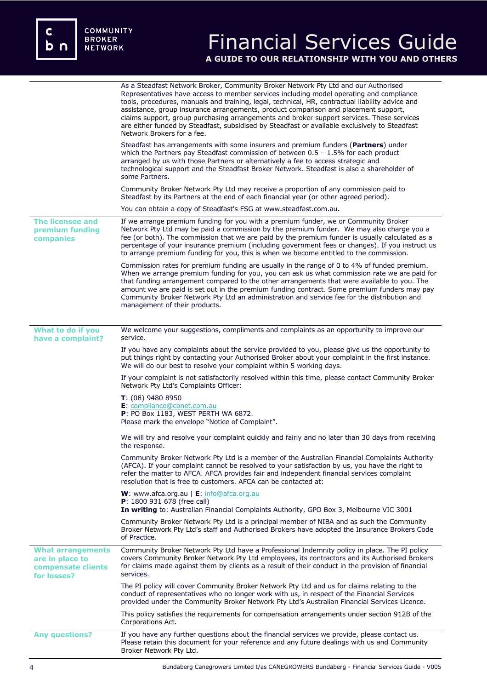c<br>b n

# Financial Services Guide **A GUIDE TO OUR RELATIONSHIP WITH YOU AND OTHERS**

|                                                                                  | As a Steadfast Network Broker, Community Broker Network Pty Ltd and our Authorised<br>Representatives have access to member services including model operating and compliance<br>tools, procedures, manuals and training, legal, technical, HR, contractual liability advice and<br>assistance, group insurance arrangements, product comparison and placement support,<br>claims support, group purchasing arrangements and broker support services. These services<br>are either funded by Steadfast, subsidised by Steadfast or available exclusively to Steadfast<br>Network Brokers for a fee. |
|----------------------------------------------------------------------------------|-----------------------------------------------------------------------------------------------------------------------------------------------------------------------------------------------------------------------------------------------------------------------------------------------------------------------------------------------------------------------------------------------------------------------------------------------------------------------------------------------------------------------------------------------------------------------------------------------------|
|                                                                                  | Steadfast has arrangements with some insurers and premium funders (Partners) under<br>which the Partners pay Steadfast commission of between $0.5 - 1.5\%$ for each product<br>arranged by us with those Partners or alternatively a fee to access strategic and<br>technological support and the Steadfast Broker Network. Steadfast is also a shareholder of<br>some Partners.                                                                                                                                                                                                                    |
|                                                                                  | Community Broker Network Pty Ltd may receive a proportion of any commission paid to<br>Steadfast by its Partners at the end of each financial year (or other agreed period).                                                                                                                                                                                                                                                                                                                                                                                                                        |
|                                                                                  | You can obtain a copy of Steadfast's FSG at www.steadfast.com.au.                                                                                                                                                                                                                                                                                                                                                                                                                                                                                                                                   |
| <b>The licensee and</b><br>premium funding<br>companies                          | If we arrange premium funding for you with a premium funder, we or Community Broker<br>Network Pty Ltd may be paid a commission by the premium funder. We may also charge you a<br>fee (or both). The commission that we are paid by the premium funder is usually calculated as a<br>percentage of your insurance premium (including government fees or changes). If you instruct us<br>to arrange premium funding for you, this is when we become entitled to the commission.                                                                                                                     |
|                                                                                  | Commission rates for premium funding are usually in the range of 0 to 4% of funded premium.<br>When we arrange premium funding for you, you can ask us what commission rate we are paid for<br>that funding arrangement compared to the other arrangements that were available to you. The<br>amount we are paid is set out in the premium funding contract. Some premium funders may pay<br>Community Broker Network Pty Ltd an administration and service fee for the distribution and<br>management of their products.                                                                           |
| What to do if you                                                                | We welcome your suggestions, compliments and complaints as an opportunity to improve our                                                                                                                                                                                                                                                                                                                                                                                                                                                                                                            |
| have a complaint?                                                                | service.                                                                                                                                                                                                                                                                                                                                                                                                                                                                                                                                                                                            |
|                                                                                  | If you have any complaints about the service provided to you, please give us the opportunity to<br>put things right by contacting your Authorised Broker about your complaint in the first instance.<br>We will do our best to resolve your complaint within 5 working days.                                                                                                                                                                                                                                                                                                                        |
|                                                                                  | If your complaint is not satisfactorily resolved within this time, please contact Community Broker<br>Network Pty Ltd's Complaints Officer:                                                                                                                                                                                                                                                                                                                                                                                                                                                         |
|                                                                                  | $T: (08)$ 9480 8950<br>E: compliance@cbnet.com.au<br>P: PO Box 1183, WEST PERTH WA 6872.<br>Please mark the envelope "Notice of Complaint".                                                                                                                                                                                                                                                                                                                                                                                                                                                         |
|                                                                                  | We will try and resolve your complaint quickly and fairly and no later than 30 days from receiving<br>the response.                                                                                                                                                                                                                                                                                                                                                                                                                                                                                 |
|                                                                                  | Community Broker Network Pty Ltd is a member of the Australian Financial Complaints Authority<br>(AFCA). If your complaint cannot be resolved to your satisfaction by us, you have the right to<br>refer the matter to AFCA. AFCA provides fair and independent financial services complaint<br>resolution that is free to customers. AFCA can be contacted at:                                                                                                                                                                                                                                     |
|                                                                                  | <b>W</b> : www.afca.org.au   $E$ : info@afca.org.au<br>P: 1800 931 678 (free call)<br>In writing to: Australian Financial Complaints Authority, GPO Box 3, Melbourne VIC 3001                                                                                                                                                                                                                                                                                                                                                                                                                       |
|                                                                                  | Community Broker Network Pty Ltd is a principal member of NIBA and as such the Community<br>Broker Network Pty Ltd's staff and Authorised Brokers have adopted the Insurance Brokers Code<br>of Practice.                                                                                                                                                                                                                                                                                                                                                                                           |
| <b>What arrangements</b><br>are in place to<br>compensate clients<br>for losses? | Community Broker Network Pty Ltd have a Professional Indemnity policy in place. The PI policy<br>covers Community Broker Network Pty Ltd employees, its contractors and its Authorised Brokers<br>for claims made against them by clients as a result of their conduct in the provision of financial<br>services.                                                                                                                                                                                                                                                                                   |
|                                                                                  | The PI policy will cover Community Broker Network Pty Ltd and us for claims relating to the<br>conduct of representatives who no longer work with us, in respect of the Financial Services<br>provided under the Community Broker Network Pty Ltd's Australian Financial Services Licence.                                                                                                                                                                                                                                                                                                          |
|                                                                                  | This policy satisfies the requirements for compensation arrangements under section 912B of the<br>Corporations Act.                                                                                                                                                                                                                                                                                                                                                                                                                                                                                 |
| <b>Any questions?</b>                                                            | If you have any further questions about the financial services we provide, please contact us.<br>Please retain this document for your reference and any future dealings with us and Community<br>Broker Network Pty Ltd.                                                                                                                                                                                                                                                                                                                                                                            |